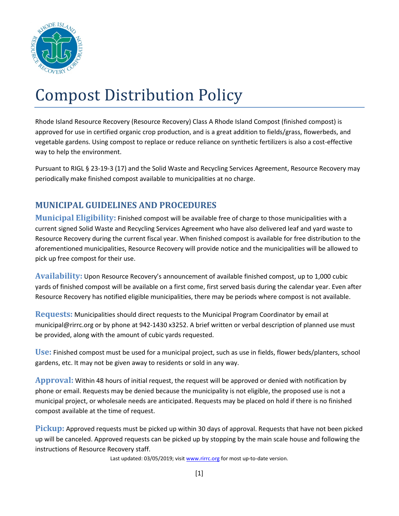

## Compost Distribution Policy

Rhode Island Resource Recovery (Resource Recovery) Class A Rhode Island Compost (finished compost) is approved for use in certified organic crop production, and is a great addition to fields/grass, flowerbeds, and vegetable gardens. Using compost to replace or reduce reliance on synthetic fertilizers is also a cost-effective way to help the environment.

Pursuant to RIGL § 23-19-3 (17) and the Solid Waste and Recycling Services Agreement, Resource Recovery may periodically make finished compost available to municipalities at no charge.

## **MUNICIPAL GUIDELINES AND PROCEDURES**

**Municipal Eligibility:** Finished compost will be available free of charge to those municipalities with a current signed Solid Waste and Recycling Services Agreement who have also delivered leaf and yard waste to Resource Recovery during the current fiscal year. When finished compost is available for free distribution to the aforementioned municipalities, Resource Recovery will provide notice and the municipalities will be allowed to pick up free compost for their use.

**Availability:** Upon Resource Recovery's announcement of available finished compost, up to 1,000 cubic yards of finished compost will be available on a first come, first served basis during the calendar year. Even after Resource Recovery has notified eligible municipalities, there may be periods where compost is not available.

**Requests:** Municipalities should direct requests to the Municipal Program Coordinator by email at municipal@rirrc.org or by phone at 942-1430 x3252. A brief written or verbal description of planned use must be provided, along with the amount of cubic yards requested.

**Use:** Finished compost must be used for a municipal project, such as use in fields, flower beds/planters, school gardens, etc. It may not be given away to residents or sold in any way.

**Approval:** Within 48 hours of initial request, the request will be approved or denied with notification by phone or email. Requests may be denied because the municipality is not eligible, the proposed use is not a municipal project, or wholesale needs are anticipated. Requests may be placed on hold if there is no finished compost available at the time of request.

**Pickup:** Approved requests must be picked up within 30 days of approval. Requests that have not been picked up will be canceled. Approved requests can be picked up by stopping by the main scale house and following the instructions of Resource Recovery staff.

Last updated: 03/05/2019; visit [www.rirrc.org](http://www.rirrc.org/) for most up-to-date version.